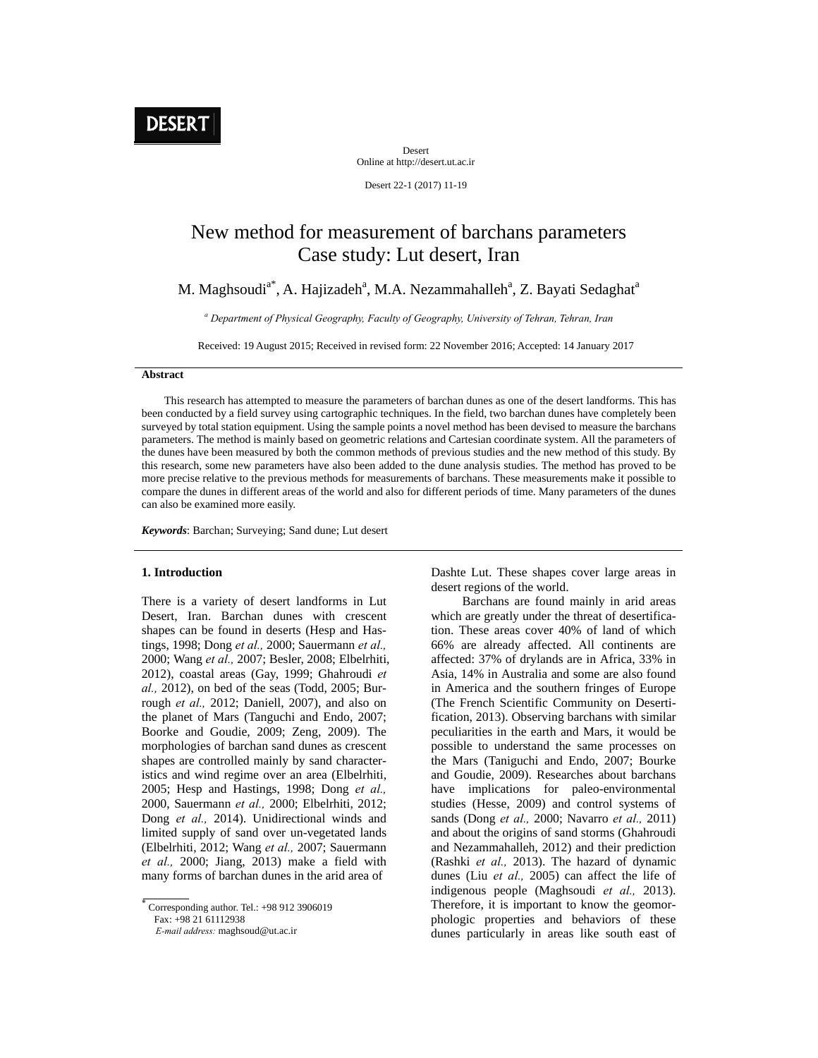

Desert Online at http://desert.ut.ac.ir

Desert 22-1 (2017) 11-19

# New method for measurement of barchans parameters Case study: Lut desert, Iran

M. Maghsoudi<sup>a\*</sup>, A. Hajizadeh<sup>a</sup>, M.A. Nezammahalleh<sup>a</sup>, Z. Bayati Sedaghat<sup>a</sup>

*a Department of Physical Geography, Faculty of Geography, University of Tehran, Tehran, Iran* 

Received: 19 August 2015; Received in revised form: 22 November 2016; Accepted: 14 January 2017

# **Abstract**

 This research has attempted to measure the parameters of barchan dunes as one of the desert landforms. This has been conducted by a field survey using cartographic techniques. In the field, two barchan dunes have completely been surveyed by total station equipment. Using the sample points a novel method has been devised to measure the barchans parameters. The method is mainly based on geometric relations and Cartesian coordinate system. All the parameters of the dunes have been measured by both the common methods of previous studies and the new method of this study. By this research, some new parameters have also been added to the dune analysis studies. The method has proved to be more precise relative to the previous methods for measurements of barchans. These measurements make it possible to compare the dunes in different areas of the world and also for different periods of time. Many parameters of the dunes can also be examined more easily.

*Keywords*: Barchan; Surveying; Sand dune; Lut desert

# **1. Introduction**

There is a variety of desert landforms in Lut Desert, Iran. Barchan dunes with crescent shapes can be found in deserts (Hesp and Hastings, 1998; Dong *et al.,* 2000; Sauermann *et al.,* 2000; Wang *et al.,* 2007; Besler, 2008; Elbelrhiti, 2012), coastal areas (Gay, 1999; Ghahroudi *et al.,* 2012), on bed of the seas (Todd, 2005; Burrough *et al.,* 2012; Daniell, 2007), and also on the planet of Mars (Tanguchi and Endo, 2007; Boorke and Goudie, 2009; Zeng, 2009). The morphologies of barchan sand dunes as crescent shapes are controlled mainly by sand characteristics and wind regime over an area (Elbelrhiti, 2005; Hesp and Hastings, 1998; Dong *et al.,* 2000, Sauermann *et al.,* 2000; Elbelrhiti, 2012; Dong *et al.,* 2014). Unidirectional winds and limited supply of sand over un-vegetated lands (Elbelrhiti, 2012; Wang *et al.,* 2007; Sauermann *et al.,* 2000; Jiang, 2013) make a field with many forms of barchan dunes in the arid area of

Dashte Lut. These shapes cover large areas in desert regions of the world.

 Barchans are found mainly in arid areas which are greatly under the threat of desertification. These areas cover 40% of land of which 66% are already affected. All continents are affected: 37% of drylands are in Africa, 33% in Asia, 14% in Australia and some are also found in America and the southern fringes of Europe (The French Scientific Community on Desertification, 2013). Observing barchans with similar peculiarities in the earth and Mars, it would be possible to understand the same processes on the Mars (Taniguchi and Endo, 2007; Bourke and Goudie, 2009). Researches about barchans have implications for paleo-environmental studies (Hesse, 2009) and control systems of sands (Dong *et al.,* 2000; Navarro *et al.,* 2011) and about the origins of sand storms (Ghahroudi and Nezammahalleh, 2012) and their prediction (Rashki *et al.,* 2013). The hazard of dynamic dunes (Liu *et al.,* 2005) can affect the life of indigenous people (Maghsoudi *et al.,* 2013). Therefore, it is important to know the geomorphologic properties and behaviors of these dunes particularly in areas like south east of

 $\overline{\overline{\phantom{a}}\phantom{a}}$  Corresponding author. Tel.: +98 912 3906019

Fax: +98 21 61112938

*E-mail address:* maghsoud@ut.ac.ir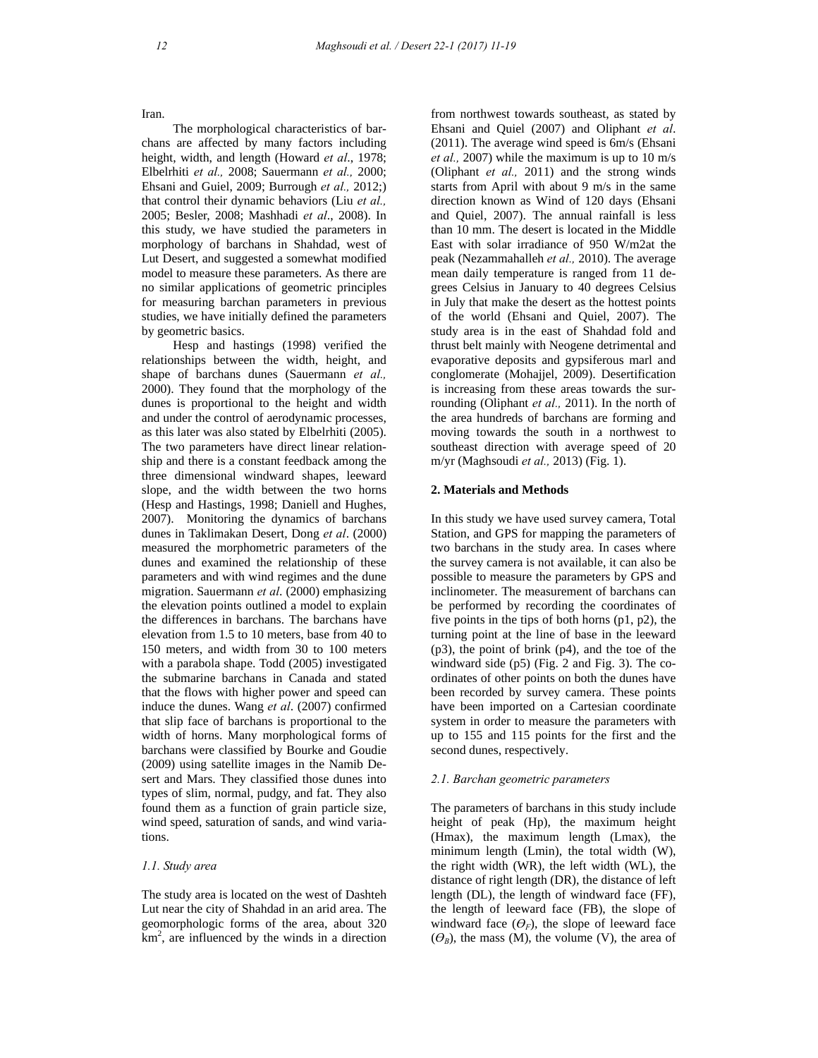Iran.

 The morphological characteristics of barchans are affected by many factors including height, width, and length (Howard *et al*., 1978; Elbelrhiti *et al.,* 2008; Sauermann *et al.,* 2000; Ehsani and Guiel, 2009; Burrough *et al.,* 2012;) that control their dynamic behaviors (Liu *et al.,* 2005; Besler, 2008; Mashhadi *et al*., 2008). In this study, we have studied the parameters in morphology of barchans in Shahdad, west of Lut Desert, and suggested a somewhat modified model to measure these parameters. As there are no similar applications of geometric principles for measuring barchan parameters in previous studies, we have initially defined the parameters by geometric basics.

 Hesp and hastings (1998) verified the relationships between the width, height, and shape of barchans dunes (Sauermann *et al.,* 2000). They found that the morphology of the dunes is proportional to the height and width and under the control of aerodynamic processes, as this later was also stated by Elbelrhiti (2005). The two parameters have direct linear relationship and there is a constant feedback among the three dimensional windward shapes, leeward slope, and the width between the two horns (Hesp and Hastings, 1998; Daniell and Hughes, 2007). Monitoring the dynamics of barchans dunes in Taklimakan Desert, Dong *et al*. (2000) measured the morphometric parameters of the dunes and examined the relationship of these parameters and with wind regimes and the dune migration. Sauermann *et al*. (2000) emphasizing the elevation points outlined a model to explain the differences in barchans. The barchans have elevation from 1.5 to 10 meters, base from 40 to 150 meters, and width from 30 to 100 meters with a parabola shape. Todd (2005) investigated the submarine barchans in Canada and stated that the flows with higher power and speed can induce the dunes. Wang *et al*. (2007) confirmed that slip face of barchans is proportional to the width of horns. Many morphological forms of barchans were classified by Bourke and Goudie (2009) using satellite images in the Namib Desert and Mars. They classified those dunes into types of slim, normal, pudgy, and fat. They also found them as a function of grain particle size, wind speed, saturation of sands, and wind variations.

# *1.1. Study area*

The study area is located on the west of Dashteh Lut near the city of Shahdad in an arid area. The geomorphologic forms of the area, about 320 km2 , are influenced by the winds in a direction from northwest towards southeast, as stated by Ehsani and Quiel (2007) and Oliphant *et al*. (2011). The average wind speed is 6m/s (Ehsani *et al.,* 2007) while the maximum is up to 10 m/s (Oliphant *et al.,* 2011) and the strong winds starts from April with about 9 m/s in the same direction known as Wind of 120 days (Ehsani and Quiel, 2007). The annual rainfall is less than 10 mm. The desert is located in the Middle East with solar irradiance of 950 W/m2at the peak (Nezammahalleh *et al.,* 2010). The average mean daily temperature is ranged from 11 degrees Celsius in January to 40 degrees Celsius in July that make the desert as the hottest points of the world (Ehsani and Quiel, 2007). The study area is in the east of Shahdad fold and thrust belt mainly with Neogene detrimental and evaporative deposits and gypsiferous marl and conglomerate (Mohajjel, 2009). Desertification is increasing from these areas towards the surrounding (Oliphant *et al.,* 2011). In the north of the area hundreds of barchans are forming and moving towards the south in a northwest to southeast direction with average speed of 20 m/yr (Maghsoudi *et al.,* 2013) (Fig. 1).

# **2. Materials and Methods**

In this study we have used survey camera, Total Station, and GPS for mapping the parameters of two barchans in the study area. In cases where the survey camera is not available, it can also be possible to measure the parameters by GPS and inclinometer. The measurement of barchans can be performed by recording the coordinates of five points in the tips of both horns  $(p1, p2)$ , the turning point at the line of base in the leeward (p3), the point of brink (p4), and the toe of the windward side (p5) (Fig. 2 and Fig. 3). The coordinates of other points on both the dunes have been recorded by survey camera. These points have been imported on a Cartesian coordinate system in order to measure the parameters with up to 155 and 115 points for the first and the second dunes, respectively.

## *2.1. Barchan geometric parameters*

The parameters of barchans in this study include height of peak (Hp), the maximum height (Hmax), the maximum length (Lmax), the minimum length (Lmin), the total width (W), the right width (WR), the left width (WL), the distance of right length (DR), the distance of left length (DL), the length of windward face (FF), the length of leeward face (FB), the slope of windward face  $(\theta_F)$ , the slope of leeward face  $(\Theta_R)$ , the mass (M), the volume (V), the area of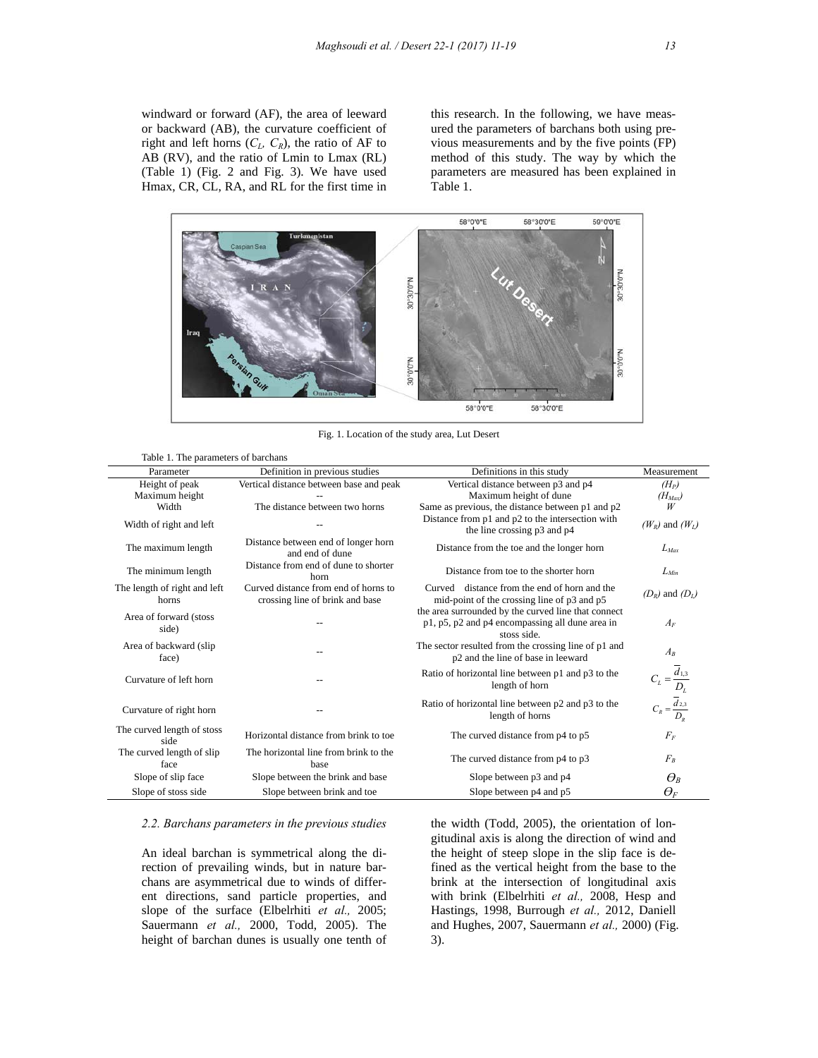windward or forward (AF), the area of leeward or backward (AB), the curvature coefficient of right and left horns  $(C_L, C_R)$ , the ratio of AF to AB (RV), and the ratio of Lmin to Lmax (RL) (Table 1) (Fig. 2 and Fig. 3). We have used Hmax, CR, CL, RA, and RL for the first time in

this research. In the following, we have measured the parameters of barchans both using previous measurements and by the five points (FP) method of this study. The way by which the parameters are measured has been explained in Table 1.



Fig. 1. Location of the study area, Lut Desert

|  |  | Table 1. The parameters of barchans |  |  |
|--|--|-------------------------------------|--|--|
|--|--|-------------------------------------|--|--|

| Parameter                             | Definition in previous studies                                          | Definitions in this study                                                                                             | Measurement                                                                                                  |
|---------------------------------------|-------------------------------------------------------------------------|-----------------------------------------------------------------------------------------------------------------------|--------------------------------------------------------------------------------------------------------------|
| Height of peak                        | Vertical distance between base and peak                                 | Vertical distance between p3 and p4                                                                                   | $(H_P)$                                                                                                      |
| Maximum height                        |                                                                         | Maximum height of dune                                                                                                | $(H_{Max})$                                                                                                  |
| Width                                 | The distance between two horns                                          | Same as previous, the distance between p1 and p2                                                                      | W                                                                                                            |
| Width of right and left               |                                                                         | Distance from p1 and p2 to the intersection with<br>the line crossing p3 and p4                                       | $(W_R)$ and $(W_I)$                                                                                          |
| The maximum length                    | Distance between end of longer horn<br>and end of dune                  | Distance from the toe and the longer horn                                                                             | $L_{Max}$                                                                                                    |
| The minimum length                    | Distance from end of dune to shorter<br>horn                            | Distance from toe to the shorter horn                                                                                 | $L_{Min}$                                                                                                    |
| The length of right and left<br>horns | Curved distance from end of horns to<br>crossing line of brink and base | Curved distance from the end of horn and the<br>mid-point of the crossing line of p3 and p5                           | $(D_R)$ and $(D_I)$                                                                                          |
| Area of forward (stoss<br>side)       |                                                                         | the area surrounded by the curved line that connect<br>p1, p5, p2 and p4 encompassing all dune area in<br>stoss side. | $A_F$                                                                                                        |
| Area of backward (slip<br>face)       |                                                                         | The sector resulted from the crossing line of p1 and<br>p2 and the line of base in leeward                            | $A_R$                                                                                                        |
| Curvature of left horn                |                                                                         | Ratio of horizontal line between p1 and p3 to the<br>length of horn                                                   | $\begin{aligned} C_L = \frac{\overline{d}_{1,3}}{D_L} \\ C_R = \frac{\overline{d}_{2,3}}{D_R} \end{aligned}$ |
| Curvature of right horn               |                                                                         | Ratio of horizontal line between p2 and p3 to the<br>length of horns                                                  |                                                                                                              |
| The curved length of stoss<br>side    | Horizontal distance from brink to toe                                   | The curved distance from p4 to p5                                                                                     | $F_F$                                                                                                        |
| The curved length of slip<br>face     | The horizontal line from brink to the<br>base                           | The curved distance from p4 to p3                                                                                     | $F_R$                                                                                                        |
| Slope of slip face                    | Slope between the brink and base                                        | Slope between p3 and p4                                                                                               | $\varTheta_{\scriptscriptstyle{B}}$                                                                          |
| Slope of stoss side                   | Slope between brink and toe                                             | Slope between p4 and p5                                                                                               | $\varTheta_{\!\scriptscriptstyle F}$                                                                         |

### *2.2. Barchans parameters in the previous studies*

An ideal barchan is symmetrical along the direction of prevailing winds, but in nature barchans are asymmetrical due to winds of different directions, sand particle properties, and slope of the surface (Elbelrhiti *et al.,* 2005; Sauermann *et al.,* 2000, Todd, 2005). The height of barchan dunes is usually one tenth of the width (Todd, 2005), the orientation of longitudinal axis is along the direction of wind and the height of steep slope in the slip face is defined as the vertical height from the base to the brink at the intersection of longitudinal axis with brink (Elbelrhiti *et al.,* 2008, Hesp and Hastings, 1998, Burrough *et al.,* 2012, Daniell and Hughes, 2007, Sauermann *et al.,* 2000) (Fig. 3).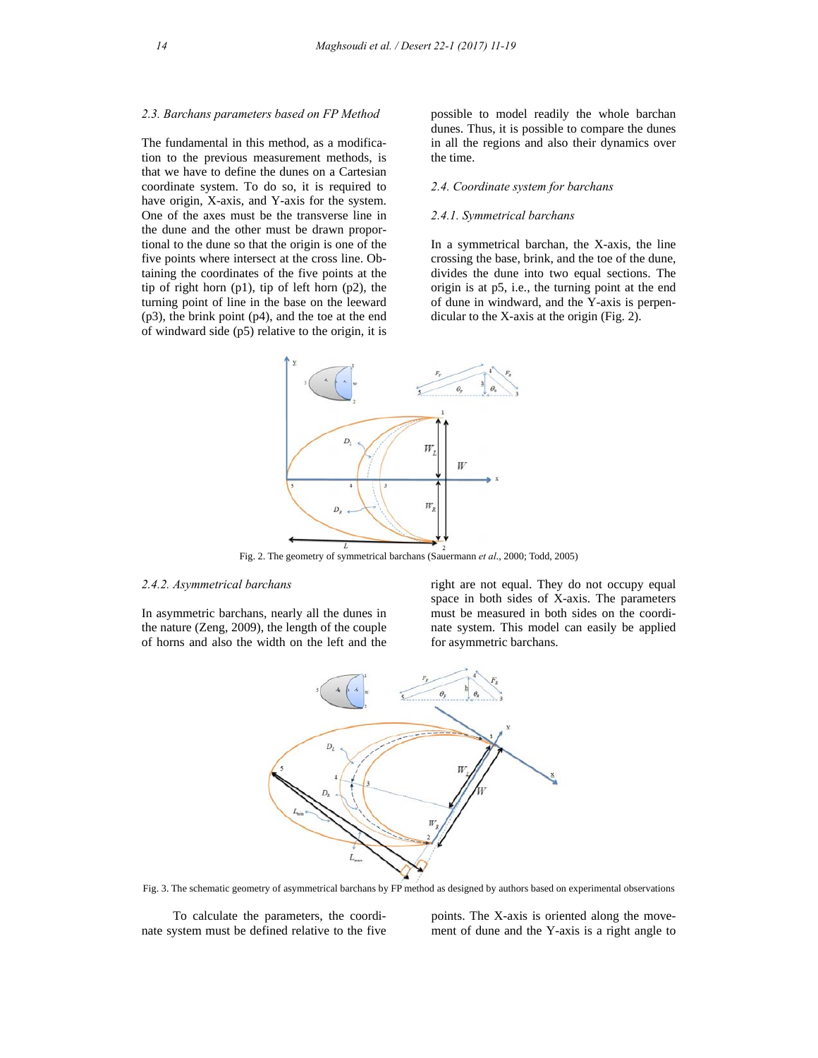## *2.3. Barchans parameters based on FP Method*

The fundamental in this method, as a modification to the previous measurement methods, is that we have to define the dunes on a Cartesian coordinate system. To do so, it is required to have origin, X-axis, and Y-axis for the system. One of the axes must be the transverse line in the dune and the other must be drawn proportional to the dune so that the origin is one of the five points where intersect at the cross line. Obtaining the coordinates of the five points at the tip of right horn (p1), tip of left horn (p2), the turning point of line in the base on the leeward (p3), the brink point (p4), and the toe at the end of windward side (p5) relative to the origin, it is possible to model readily the whole barchan dunes. Thus, it is possible to compare the dunes in all the regions and also their dynamics over the time.

#### *2.4. Coordinate system for barchans*

## *2.4.1. Symmetrical barchans*

In a symmetrical barchan, the X-axis, the line crossing the base, brink, and the toe of the dune, divides the dune into two equal sections. The origin is at p5, i.e., the turning point at the end of dune in windward, and the Y-axis is perpendicular to the X-axis at the origin (Fig. 2).



Fig. 2. The geometry of symmetrical barchans (Sauermann *et al*., 2000; Todd, 2005)

#### *2.4.2. Asymmetrical barchans*

In asymmetric barchans, nearly all the dunes in the nature (Zeng, 2009), the length of the couple of horns and also the width on the left and the

right are not equal. They do not occupy equal space in both sides of X-axis. The parameters must be measured in both sides on the coordinate system. This model can easily be applied for asymmetric barchans.



Fig. 3. The schematic geometry of asymmetrical barchans by FP method as designed by authors based on experimental observations

 To calculate the parameters, the coordinate system must be defined relative to the five points. The X-axis is oriented along the movement of dune and the Y-axis is a right angle to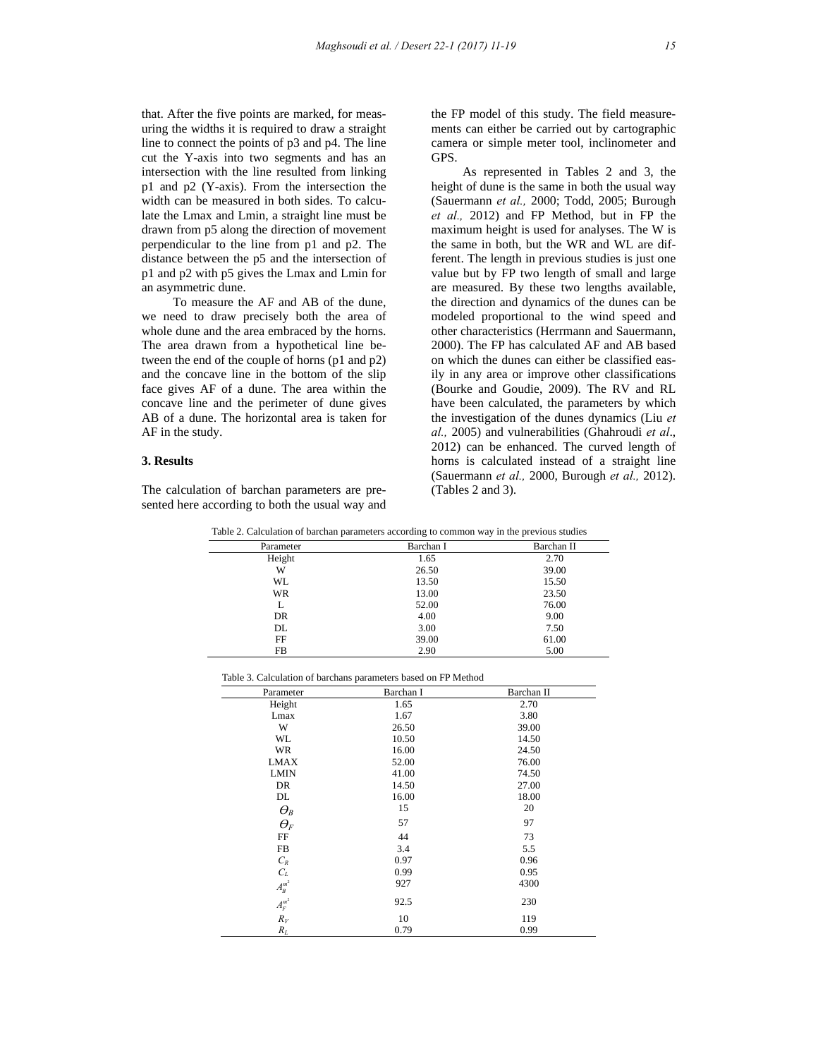that. After the five points are marked, for measuring the widths it is required to draw a straight line to connect the points of p3 and p4. The line cut the Y-axis into two segments and has an intersection with the line resulted from linking p1 and p2 (Y-axis). From the intersection the width can be measured in both sides. To calculate the Lmax and Lmin, a straight line must be drawn from p5 along the direction of movement perpendicular to the line from p1 and p2. The distance between the p5 and the intersection of p1 and p2 with p5 gives the Lmax and Lmin for an asymmetric dune.

 To measure the AF and AB of the dune, we need to draw precisely both the area of whole dune and the area embraced by the horns. The area drawn from a hypothetical line between the end of the couple of horns (p1 and p2) and the concave line in the bottom of the slip face gives AF of a dune. The area within the concave line and the perimeter of dune gives AB of a dune. The horizontal area is taken for AF in the study.

# **3. Results**

The calculation of barchan parameters are presented here according to both the usual way and the FP model of this study. The field measurements can either be carried out by cartographic camera or simple meter tool, inclinometer and GPS.

 As represented in Tables 2 and 3, the height of dune is the same in both the usual way (Sauermann *et al.,* 2000; Todd, 2005; Burough *et al.,* 2012) and FP Method, but in FP the maximum height is used for analyses. The W is the same in both, but the WR and WL are different. The length in previous studies is just one value but by FP two length of small and large are measured. By these two lengths available, the direction and dynamics of the dunes can be modeled proportional to the wind speed and other characteristics (Herrmann and Sauermann, 2000). The FP has calculated AF and AB based on which the dunes can either be classified easily in any area or improve other classifications (Bourke and Goudie, 2009). The RV and RL have been calculated, the parameters by which the investigation of the dunes dynamics (Liu *et al.,* 2005) and vulnerabilities (Ghahroudi *et al*., 2012) can be enhanced. The curved length of horns is calculated instead of a straight line (Sauermann *et al.,* 2000, Burough *et al.,* 2012). (Tables 2 and 3).

| Table 2. Calculation of barchan parameters according to common way in the previous studies |  |  |
|--------------------------------------------------------------------------------------------|--|--|
|                                                                                            |  |  |

| .         | $\sim$    |            |
|-----------|-----------|------------|
| Parameter | Barchan I | Barchan II |
| Height    | 1.65      | 2.70       |
| W         | 26.50     | 39.00      |
| <b>WL</b> | 13.50     | 15.50      |
| WR        | 13.00     | 23.50      |
|           | 52.00     | 76.00      |
| DR        | 4.00      | 9.00       |
| DL        | 3.00      | 7.50       |
| FF        | 39.00     | 61.00      |
| <b>FB</b> | 2.90      | 5.00       |

| Table 3. Calculation of barchans parameters based on FP Method |  |
|----------------------------------------------------------------|--|
|----------------------------------------------------------------|--|

| Parameter                           | Barchan I | Barchan II |
|-------------------------------------|-----------|------------|
| Height                              | 1.65      | 2.70       |
| Lmax                                | 1.67      | 3.80       |
| W                                   | 26.50     | 39.00      |
| WL                                  | 10.50     | 14.50      |
| WR                                  | 16.00     | 24.50      |
| <b>LMAX</b>                         | 52.00     | 76.00      |
| <b>LMIN</b>                         | 41.00     | 74.50      |
| DR                                  | 14.50     | 27.00      |
| DL                                  | 16.00     | 18.00      |
| $\varTheta_{\textit{B}}$            | 15        | 20         |
| $\varTheta_{\!F}$                   | 57        | 97         |
| FF                                  | 44        | 73         |
| FB                                  | 3.4       | 5.5        |
| $C_R$                               | 0.97      | 0.96       |
|                                     | 0.99      | 0.95       |
|                                     | 927       | 4300       |
| $C_L$<br>$A_B^{m^2}$<br>$A_F^{m^2}$ | 92.5      | 230        |
| $R_V$                               | 10        | 119        |
| $R_L$                               | 0.79      | 0.99       |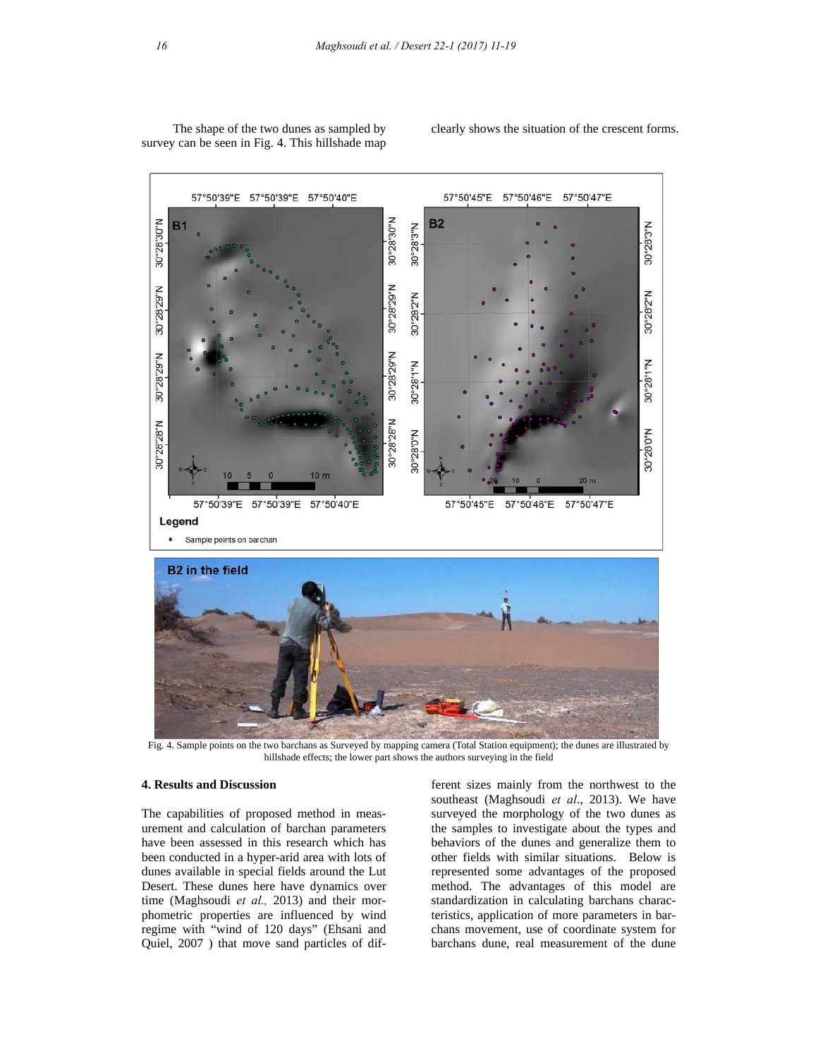

 The shape of the two dunes as sampled by survey can be seen in Fig. 4. This hillshade map clearly shows the situation of the crescent forms.

Fig. 4. Sample points on the two barchans as Surveyed by mapping camera (Total Station equipment); the dunes are illustrated by hillshade effects; the lower part shows the authors surveying in the field

# **4. Results and Discussion**

The capabilities of proposed method in measurement and calculation of barchan parameters have been assessed in this research which has been conducted in a hyper-arid area with lots of dunes available in special fields around the Lut Desert. These dunes here have dynamics over time (Maghsoudi *et al.,* 2013) and their morphometric properties are influenced by wind regime with "wind of 120 days" (Ehsani and Quiel, 2007 ) that move sand particles of different sizes mainly from the northwest to the southeast (Maghsoudi *et al*., 2013). We have surveyed the morphology of the two dunes as the samples to investigate about the types and behaviors of the dunes and generalize them to other fields with similar situations. Below is represented some advantages of the proposed method. The advantages of this model are standardization in calculating barchans characteristics, application of more parameters in barchans movement, use of coordinate system for barchans dune, real measurement of the dune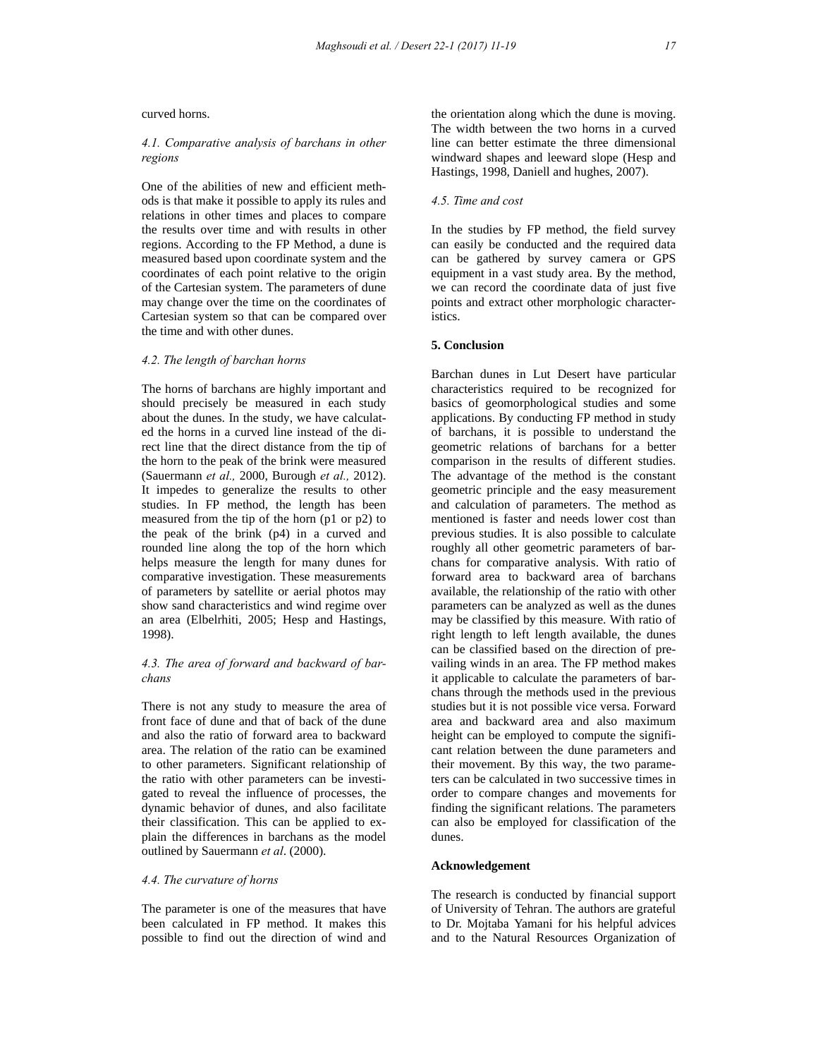curved horns.

#### *4.1. Comparative analysis of barchans in other regions*

One of the abilities of new and efficient methods is that make it possible to apply its rules and relations in other times and places to compare the results over time and with results in other regions. According to the FP Method, a dune is measured based upon coordinate system and the coordinates of each point relative to the origin of the Cartesian system. The parameters of dune may change over the time on the coordinates of Cartesian system so that can be compared over the time and with other dunes.

# *4.2. The length of barchan horns*

The horns of barchans are highly important and should precisely be measured in each study about the dunes. In the study, we have calculated the horns in a curved line instead of the direct line that the direct distance from the tip of the horn to the peak of the brink were measured (Sauermann *et al.,* 2000, Burough *et al.,* 2012). It impedes to generalize the results to other studies. In FP method, the length has been measured from the tip of the horn (p1 or p2) to the peak of the brink (p4) in a curved and rounded line along the top of the horn which helps measure the length for many dunes for comparative investigation. These measurements of parameters by satellite or aerial photos may show sand characteristics and wind regime over an area (Elbelrhiti, 2005; Hesp and Hastings, 1998).

# *4.3. The area of forward and backward of barchans*

There is not any study to measure the area of front face of dune and that of back of the dune and also the ratio of forward area to backward area. The relation of the ratio can be examined to other parameters. Significant relationship of the ratio with other parameters can be investigated to reveal the influence of processes, the dynamic behavior of dunes, and also facilitate their classification. This can be applied to explain the differences in barchans as the model outlined by Sauermann *et al*. (2000).

#### *4.4. The curvature of horns*

The parameter is one of the measures that have been calculated in FP method. It makes this possible to find out the direction of wind and the orientation along which the dune is moving. The width between the two horns in a curved line can better estimate the three dimensional windward shapes and leeward slope (Hesp and Hastings, 1998, Daniell and hughes, 2007).

# *4.5. Time and cost*

In the studies by FP method, the field survey can easily be conducted and the required data can be gathered by survey camera or GPS equipment in a vast study area. By the method, we can record the coordinate data of just five points and extract other morphologic characteristics.

# **5. Conclusion**

Barchan dunes in Lut Desert have particular characteristics required to be recognized for basics of geomorphological studies and some applications. By conducting FP method in study of barchans, it is possible to understand the geometric relations of barchans for a better comparison in the results of different studies. The advantage of the method is the constant geometric principle and the easy measurement and calculation of parameters. The method as mentioned is faster and needs lower cost than previous studies. It is also possible to calculate roughly all other geometric parameters of barchans for comparative analysis. With ratio of forward area to backward area of barchans available, the relationship of the ratio with other parameters can be analyzed as well as the dunes may be classified by this measure. With ratio of right length to left length available, the dunes can be classified based on the direction of prevailing winds in an area. The FP method makes it applicable to calculate the parameters of barchans through the methods used in the previous studies but it is not possible vice versa. Forward area and backward area and also maximum height can be employed to compute the significant relation between the dune parameters and their movement. By this way, the two parameters can be calculated in two successive times in order to compare changes and movements for finding the significant relations. The parameters can also be employed for classification of the dunes.

## **Acknowledgement**

The research is conducted by financial support of University of Tehran. The authors are grateful to Dr. Mojtaba Yamani for his helpful advices and to the Natural Resources Organization of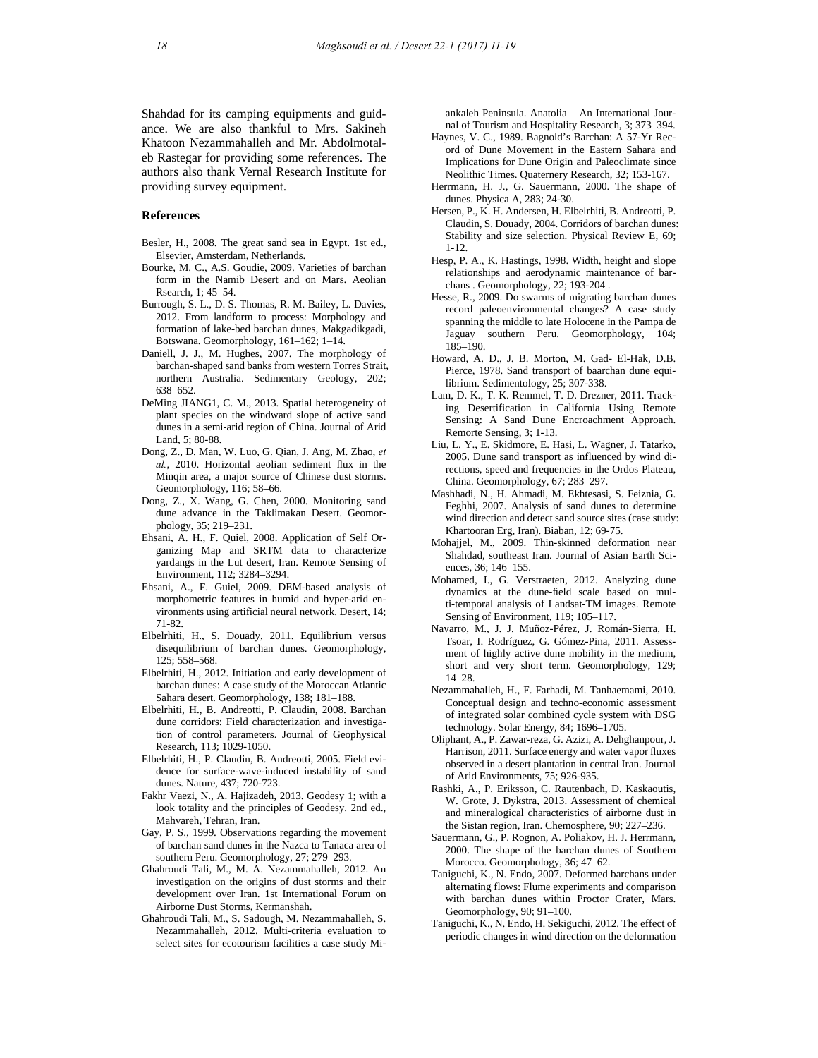Shahdad for its camping equipments and guidance. We are also thankful to Mrs. Sakineh Khatoon Nezammahalleh and Mr. Abdolmotaleb Rastegar for providing some references. The authors also thank Vernal Research Institute for providing survey equipment.

#### **References**

- Besler, H., 2008. The great sand sea in Egypt. 1st ed., Elsevier, Amsterdam, Netherlands.
- Bourke, M. C., A.S. Goudie, 2009. Varieties of barchan form in the Namib Desert and on Mars. Aeolian Rsearch, 1; 45–54.
- Burrough, S. L., D. S. Thomas, R. M. Bailey, L. Davies, 2012. From landform to process: Morphology and formation of lake-bed barchan dunes, Makgadikgadi, Botswana. Geomorphology, 161–162; 1–14.
- Daniell, J. J., M. Hughes, 2007. The morphology of barchan-shaped sand banks from western Torres Strait, northern Australia. Sedimentary Geology, 202; 638–652.
- DeMing JIANG1, C. M., 2013. Spatial heterogeneity of plant species on the windward slope of active sand dunes in a semi-arid region of China. Journal of Arid Land, 5; 80-88.
- Dong, Z., D. Man, W. Luo, G. Qian, J. Ang, M. Zhao, *et al.*, 2010. Horizontal aeolian sediment flux in the Minqin area, a major source of Chinese dust storms. Geomorphology, 116; 58–66.
- Dong, Z., X. Wang, G. Chen, 2000. Monitoring sand dune advance in the Taklimakan Desert. Geomorphology, 35; 219–231.
- Ehsani, A. H., F. Quiel, 2008. Application of Self Organizing Map and SRTM data to characterize yardangs in the Lut desert, Iran. Remote Sensing of Environment, 112; 3284–3294.
- Ehsani, A., F. Guiel, 2009. DEM-based analysis of morphometric features in humid and hyper-arid environments using artificial neural network. Desert, 14; 71-82.
- Elbelrhiti, H., S. Douady, 2011. Equilibrium versus disequilibrium of barchan dunes. Geomorphology, 125; 558–568.
- Elbelrhiti, H., 2012. Initiation and early development of barchan dunes: A case study of the Moroccan Atlantic Sahara desert. Geomorphology, 138; 181–188.
- Elbelrhiti, H., B. Andreotti, P. Claudin, 2008. Barchan dune corridors: Field characterization and investigation of control parameters. Journal of Geophysical Research, 113; 1029-1050.
- Elbelrhiti, H., P. Claudin, B. Andreotti, 2005. Field evidence for surface-wave-induced instability of sand dunes. Nature, 437; 720-723.
- Fakhr Vaezi, N., A. Hajizadeh, 2013. Geodesy 1; with a look totality and the principles of Geodesy. 2nd ed., Mahvareh, Tehran, Iran.
- Gay, P. S., 1999. Observations regarding the movement of barchan sand dunes in the Nazca to Tanaca area of southern Peru. Geomorphology, 27; 279–293.
- Ghahroudi Tali, M., M. A. Nezammahalleh, 2012. An investigation on the origins of dust storms and their development over Iran. 1st International Forum on Airborne Dust Storms, Kermanshah.
- Ghahroudi Tali, M., S. Sadough, M. Nezammahalleh, S. Nezammahalleh, 2012. Multi-criteria evaluation to select sites for ecotourism facilities a case study Mi-

ankaleh Peninsula. Anatolia – An International Journal of Tourism and Hospitality Research, 3; 373–394.

- Haynes, V. C., 1989. Bagnold's Barchan: A 57-Yr Record of Dune Movement in the Eastern Sahara and Implications for Dune Origin and Paleoclimate since Neolithic Times. Quaternery Research, 32; 153-167.
- Herrmann, H. J., G. Sauermann, 2000. The shape of dunes. Physica A, 283; 24-30.
- Hersen, P., K. H. Andersen, H. Elbelrhiti, B. Andreotti, P. Claudin, S. Douady, 2004. Corridors of barchan dunes: Stability and size selection. Physical Review E, 69; 1-12.
- Hesp, P. A., K. Hastings, 1998. Width, height and slope relationships and aerodynamic maintenance of barchans . Geomorphology, 22; 193-204 .
- Hesse, R., 2009. Do swarms of migrating barchan dunes record paleoenvironmental changes? A case study spanning the middle to late Holocene in the Pampa de Jaguay southern Peru. Geomorphology, 104; 185–190.
- Howard, A. D., J. B. Morton, M. Gad- El-Hak, D.B. Pierce, 1978. Sand transport of baarchan dune equilibrium. Sedimentology, 25; 307-338.
- Lam, D. K., T. K. Remmel, T. D. Drezner, 2011. Tracking Desertification in California Using Remote Sensing: A Sand Dune Encroachment Approach. Remorte Sensing, 3; 1-13.
- Liu, L. Y., E. Skidmore, E. Hasi, L. Wagner, J. Tatarko, 2005. Dune sand transport as influenced by wind directions, speed and frequencies in the Ordos Plateau, China. Geomorphology, 67; 283–297.
- Mashhadi, N., H. Ahmadi, M. Ekhtesasi, S. Feiznia, G. Feghhi, 2007. Analysis of sand dunes to determine wind direction and detect sand source sites (case study: Khartooran Erg, Iran). Biaban, 12; 69-75.
- Mohajjel, M., 2009. Thin-skinned deformation near Shahdad, southeast Iran. Journal of Asian Earth Sciences, 36; 146–155.
- Mohamed, I., G. Verstraeten, 2012. Analyzing dune dynamics at the dune-field scale based on multi-temporal analysis of Landsat-TM images. Remote Sensing of Environment, 119; 105–117.
- Navarro, M., J. J. Muñoz-Pérez, J. Román-Sierra, H. Tsoar, I. Rodríguez, G. Gómez-Pina, 2011. Assessment of highly active dune mobility in the medium, short and very short term. Geomorphology, 129; 14–28.
- Nezammahalleh, H., F. Farhadi, M. Tanhaemami, 2010. Conceptual design and techno-economic assessment of integrated solar combined cycle system with DSG technology. Solar Energy, 84; 1696–1705.
- Oliphant, A., P. Zawar-reza, G. Azizi, A. Dehghanpour, J. Harrison, 2011. Surface energy and water vapor fluxes observed in a desert plantation in central Iran. Journal of Arid Environments, 75; 926-935.
- Rashki, A., P. Eriksson, C. Rautenbach, D. Kaskaoutis, W. Grote, J. Dykstra, 2013. Assessment of chemical and mineralogical characteristics of airborne dust in the Sistan region, Iran. Chemosphere, 90; 227–236.
- Sauermann, G., P. Rognon, A. Poliakov, H. J. Herrmann, 2000. The shape of the barchan dunes of Southern Morocco. Geomorphology, 36; 47–62.
- Taniguchi, K., N. Endo, 2007. Deformed barchans under alternating flows: Flume experiments and comparison with barchan dunes within Proctor Crater, Mars. Geomorphology, 90; 91–100.
- Taniguchi, K., N. Endo, H. Sekiguchi, 2012. The effect of periodic changes in wind direction on the deformation